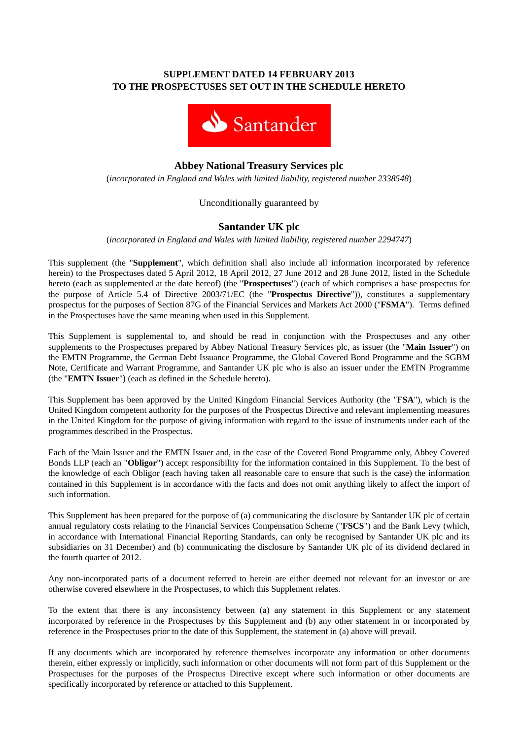## **SUPPLEMENT DATED 14 FEBRUARY 2013 TO THE PROSPECTUSES SET OUT IN THE SCHEDULE HERETO**



# **Abbey National Treasury Services plc**

(*incorporated in England and Wales with limited liability, registered number 2338548*)

## Unconditionally guaranteed by

## **Santander UK plc**

(*incorporated in England and Wales with limited liability, registered number 2294747*)

This supplement (the "**Supplement**", which definition shall also include all information incorporated by reference herein) to the Prospectuses dated 5 April 2012, 18 April 2012, 27 June 2012 and 28 June 2012, listed in the Schedule hereto (each as supplemented at the date hereof) (the "**Prospectuses**") (each of which comprises a base prospectus for the purpose of Article 5.4 of Directive 2003/71/EC (the "**Prospectus Directive**")), constitutes a supplementary prospectus for the purposes of Section 87G of the Financial Services and Markets Act 2000 ("**FSMA**"). Terms defined in the Prospectuses have the same meaning when used in this Supplement.

This Supplement is supplemental to, and should be read in conjunction with the Prospectuses and any other supplements to the Prospectuses prepared by Abbey National Treasury Services plc, as issuer (the "**Main Issuer**") on the EMTN Programme, the German Debt Issuance Programme, the Global Covered Bond Programme and the SGBM Note, Certificate and Warrant Programme, and Santander UK plc who is also an issuer under the EMTN Programme (the "**EMTN Issuer**") (each as defined in the Schedule hereto).

This Supplement has been approved by the United Kingdom Financial Services Authority (the "**FSA**"), which is the United Kingdom competent authority for the purposes of the Prospectus Directive and relevant implementing measures in the United Kingdom for the purpose of giving information with regard to the issue of instruments under each of the programmes described in the Prospectus.

Each of the Main Issuer and the EMTN Issuer and, in the case of the Covered Bond Programme only, Abbey Covered Bonds LLP (each an "**Obligor**") accept responsibility for the information contained in this Supplement. To the best of the knowledge of each Obligor (each having taken all reasonable care to ensure that such is the case) the information contained in this Supplement is in accordance with the facts and does not omit anything likely to affect the import of such information.

This Supplement has been prepared for the purpose of (a) communicating the disclosure by Santander UK plc of certain annual regulatory costs relating to the Financial Services Compensation Scheme ("**FSCS**") and the Bank Levy (which, in accordance with International Financial Reporting Standards, can only be recognised by Santander UK plc and its subsidiaries on 31 December) and (b) communicating the disclosure by Santander UK plc of its dividend declared in the fourth quarter of 2012.

Any non-incorporated parts of a document referred to herein are either deemed not relevant for an investor or are otherwise covered elsewhere in the Prospectuses, to which this Supplement relates.

To the extent that there is any inconsistency between (a) any statement in this Supplement or any statement incorporated by reference in the Prospectuses by this Supplement and (b) any other statement in or incorporated by reference in the Prospectuses prior to the date of this Supplement, the statement in (a) above will prevail.

If any documents which are incorporated by reference themselves incorporate any information or other documents therein, either expressly or implicitly, such information or other documents will not form part of this Supplement or the Prospectuses for the purposes of the Prospectus Directive except where such information or other documents are specifically incorporated by reference or attached to this Supplement.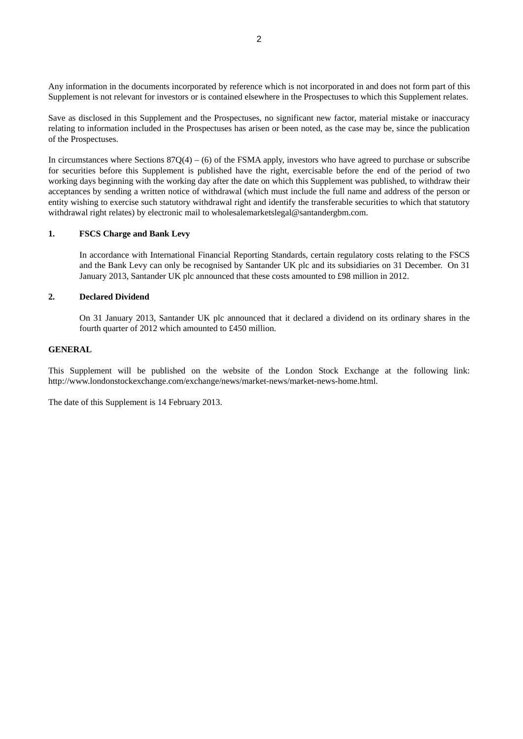Any information in the documents incorporated by reference which is not incorporated in and does not form part of this Supplement is not relevant for investors or is contained elsewhere in the Prospectuses to which this Supplement relates.

Save as disclosed in this Supplement and the Prospectuses, no significant new factor, material mistake or inaccuracy relating to information included in the Prospectuses has arisen or been noted, as the case may be, since the publication of the Prospectuses.

In circumstances where Sections  $87Q(4) - (6)$  of the FSMA apply, investors who have agreed to purchase or subscribe for securities before this Supplement is published have the right, exercisable before the end of the period of two working days beginning with the working day after the date on which this Supplement was published, to withdraw their acceptances by sending a written notice of withdrawal (which must include the full name and address of the person or entity wishing to exercise such statutory withdrawal right and identify the transferable securities to which that statutory withdrawal right relates) by electronic mail to wholesalemarketslegal@santandergbm.com.

#### **1. FSCS Charge and Bank Levy**

In accordance with International Financial Reporting Standards, certain regulatory costs relating to the FSCS and the Bank Levy can only be recognised by Santander UK plc and its subsidiaries on 31 December. On 31 January 2013, Santander UK plc announced that these costs amounted to £98 million in 2012.

## **2. Declared Dividend**

On 31 January 2013, Santander UK plc announced that it declared a dividend on its ordinary shares in the fourth quarter of 2012 which amounted to £450 million.

## **GENERAL**

This Supplement will be published on the website of the London Stock Exchange at the following link: http://www.londonstockexchange.com/exchange/news/market-news/market-news-home.html.

The date of this Supplement is 14 February 2013.